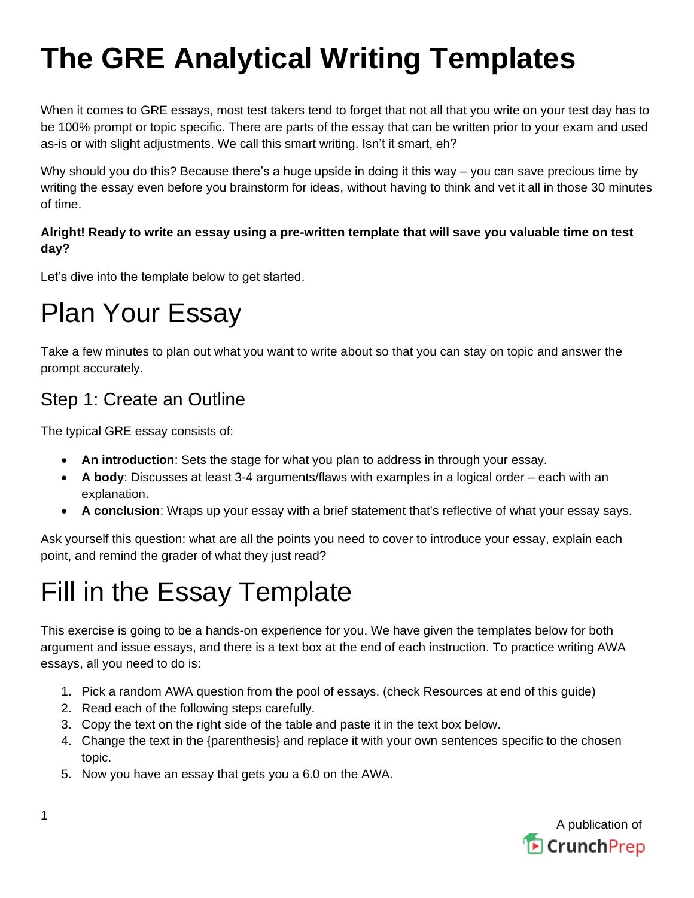# **The GRE Analytical Writing Templates**

When it comes to GRE essays, most test takers tend to forget that not all that you write on your test day has to be 100% prompt or topic specific. There are parts of the essay that can be written prior to your exam and used as-is or with slight adjustments. We call this smart writing. Isn't it smart, eh?

Why should you do this? Because there's a huge upside in doing it this way – you can save precious time by writing the essay even before you brainstorm for ideas, without having to think and vet it all in those 30 minutes of time.

### **Alright! Ready to write an essay using a pre-written template that will save you valuable time on test day?**

Let's dive into the template below to get started.

## Plan Your Essay

Take a few minutes to plan out what you want to write about so that you can stay on topic and answer the prompt accurately.

## Step 1: Create an Outline

The typical GRE essay consists of:

- **An introduction**: Sets the stage for what you plan to address in through your essay.
- **A body**: Discusses at least 3-4 arguments/flaws with examples in a logical order each with an explanation.
- **A conclusion**: Wraps up your essay with a brief statement that's reflective of what your essay says.

Ask yourself this question: what are all the points you need to cover to introduce your essay, explain each point, and remind the grader of what they just read?

## Fill in the Essay Template

This exercise is going to be a hands-on experience for you. We have given the templates below for both argument and issue essays, and there is a text box at the end of each instruction. To practice writing AWA essays, all you need to do is:

- 1. Pick a random AWA question from the pool of essays. (check Resources at end of this guide)
- 2. Read each of the following steps carefully.
- 3. Copy the text on the right side of the table and paste it in the text box below.
- 4. Change the text in the {parenthesis} and replace it with your own sentences specific to the chosen topic.
- 5. Now you have an essay that gets you a 6.0 on the AWA.

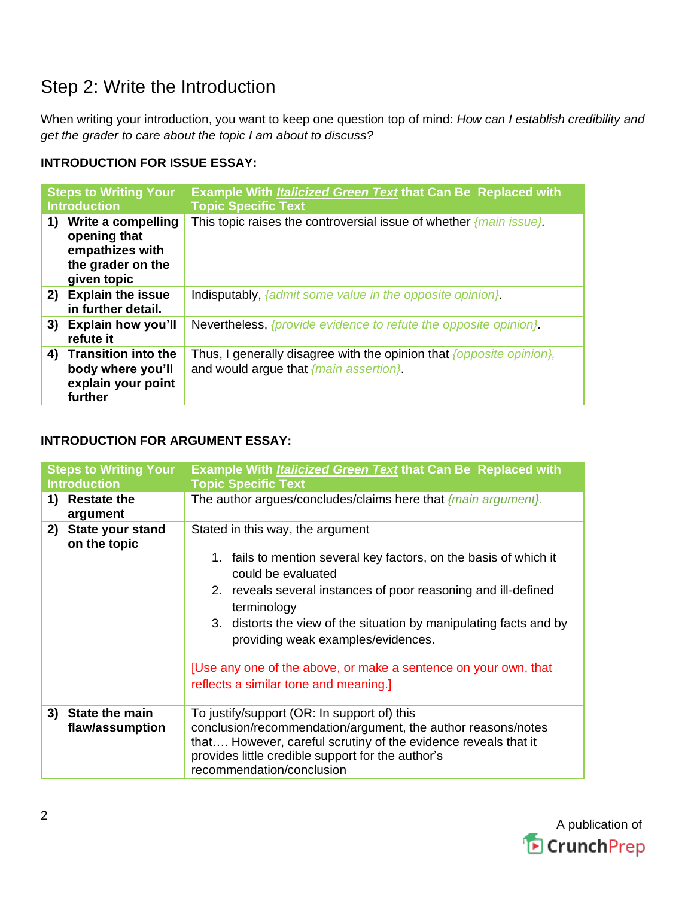## Step 2: Write the Introduction

When writing your introduction, you want to keep one question top of mind: *How can I establish credibility and get the grader to care about the topic I am about to discuss?*

### **INTRODUCTION FOR ISSUE ESSAY:**

| <b>Steps to Writing Your</b><br><b>Introduction</b> |                                                                                           | <b>Example With <i>Italicized Green Text</i> that Can Be Replaced with</b><br><b>Topic Specific Text</b>       |
|-----------------------------------------------------|-------------------------------------------------------------------------------------------|----------------------------------------------------------------------------------------------------------------|
| 1)                                                  | Write a compelling<br>opening that<br>empathizes with<br>the grader on the<br>given topic | This topic raises the controversial issue of whether $\{main\ issue\}$ .                                       |
|                                                     | 2) Explain the issue<br>in further detail.                                                | Indisputably, {admit some value in the opposite opinion}.                                                      |
| 3)                                                  | <b>Explain how you'll</b><br>refute it                                                    | Nevertheless, {provide evidence to refute the opposite opinion}.                                               |
|                                                     | 4) Transition into the<br>body where you'll<br>explain your point<br>further              | Thus, I generally disagree with the opinion that {opposite opinion},<br>and would argue that {main assertion}. |

#### **INTRODUCTION FOR ARGUMENT ESSAY:**

| <b>Steps to Writing Your</b><br><b>Introduction</b> | <b>Example With <i>Italicized Green Text</i> that Can Be Replaced with</b><br><b>Topic Specific Text</b>                                                                                                                                                                                                                                                                                                                             |
|-----------------------------------------------------|--------------------------------------------------------------------------------------------------------------------------------------------------------------------------------------------------------------------------------------------------------------------------------------------------------------------------------------------------------------------------------------------------------------------------------------|
| <b>Restate the</b><br>1)<br>argument                | The author argues/concludes/claims here that $\{main\ argument\}$ .                                                                                                                                                                                                                                                                                                                                                                  |
| <b>State your stand</b><br>2)<br>on the topic       | Stated in this way, the argument<br>1. fails to mention several key factors, on the basis of which it<br>could be evaluated<br>2. reveals several instances of poor reasoning and ill-defined<br>terminology<br>3. distorts the view of the situation by manipulating facts and by<br>providing weak examples/evidences.<br>[Use any one of the above, or make a sentence on your own, that<br>reflects a similar tone and meaning.] |
| <b>State the main</b><br>3)<br>flaw/assumption      | To justify/support (OR: In support of) this<br>conclusion/recommendation/argument, the author reasons/notes<br>that However, careful scrutiny of the evidence reveals that it<br>provides little credible support for the author's<br>recommendation/conclusion                                                                                                                                                                      |

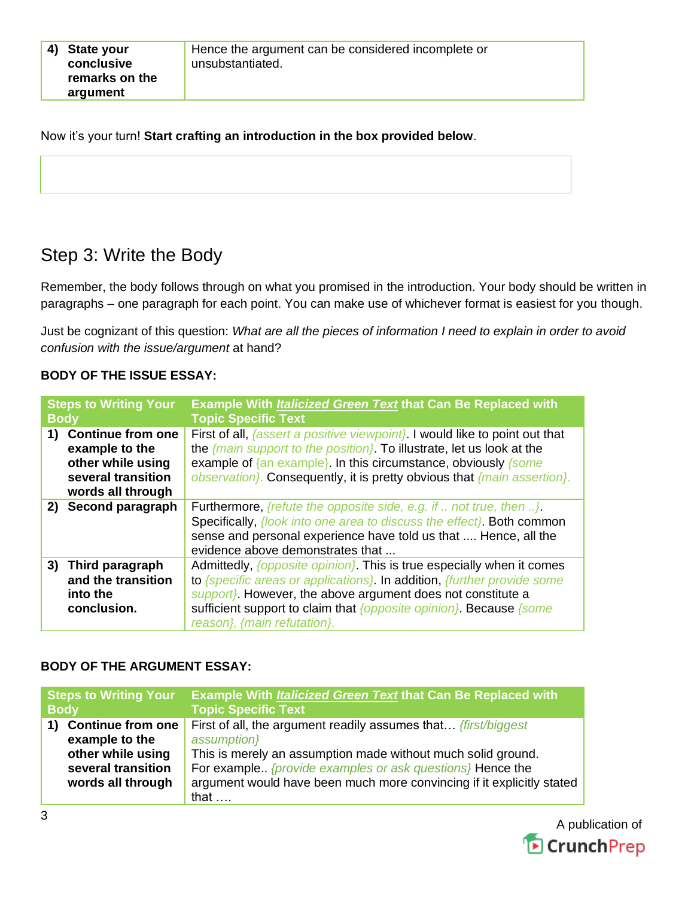Now it's your turn! **Start crafting an introduction in the box provided below**.

## Step 3: Write the Body

Remember, the body follows through on what you promised in the introduction. Your body should be written in paragraphs – one paragraph for each point. You can make use of whichever format is easiest for you though.

Just be cognizant of this question: *What are all the pieces of information I need to explain in order to avoid confusion with the issue/argument* at hand?

#### **BODY OF THE ISSUE ESSAY:**

| <b>Steps to Writing Your</b><br><b>Body</b> |                                                                                                            | Example With <i>Italicized Green Text</i> that Can Be Replaced with<br><b>Topic Specific Text</b>                                                                                                                                                                                                                            |
|---------------------------------------------|------------------------------------------------------------------------------------------------------------|------------------------------------------------------------------------------------------------------------------------------------------------------------------------------------------------------------------------------------------------------------------------------------------------------------------------------|
| 1)                                          | <b>Continue from one</b><br>example to the<br>other while using<br>several transition<br>words all through | First of all, <i>{assert a positive viewpoint}</i> . I would like to point out that<br>the $\{$ main support to the position $\}$ . To illustrate, let us look at the<br>example of $\{an example\}$ . In this circumstance, obviously $\{some\}$<br>observation). Consequently, it is pretty obvious that {main assertion}. |
|                                             | 2) Second paragraph                                                                                        | <b>Furthermore,</b> {refute the opposite side, e.g. if  not true, then }.<br>Specifically, <i>{look into one area to discuss the effect}</i> . Both common<br>sense and personal experience have told us that  Hence, all the<br>evidence above demonstrates that                                                            |
| 3)                                          | Third paragraph<br>and the transition<br>into the<br>conclusion.                                           | Admittedly, <i>{opposite opinion}</i> . This is true especially when it comes<br>to {specific areas or applications}. In addition, {further provide some<br>support}. However, the above argument does not constitute a<br>sufficient support to claim that {opposite opinion}. Because {some<br>reason}, {main refutation}. |

#### **BODY OF THE ARGUMENT ESSAY:**

| <b>Steps to Writing Your</b> |                                                                                                            | <b>Example With Italicized Green Text that Can Be Replaced with</b>                                                                                                                                                                                                                                          |
|------------------------------|------------------------------------------------------------------------------------------------------------|--------------------------------------------------------------------------------------------------------------------------------------------------------------------------------------------------------------------------------------------------------------------------------------------------------------|
| <b>Body</b>                  |                                                                                                            | <b>Topic Specific Text</b>                                                                                                                                                                                                                                                                                   |
| 1)                           | <b>Continue from one</b><br>example to the<br>other while using<br>several transition<br>words all through | First of all, the argument readily assumes that <i>{first/biggest</i> }<br>assumption}<br>This is merely an assumption made without much solid ground.<br>For example {provide examples or ask questions} Hence the<br>argument would have been much more convincing if it explicitly stated<br>that $\dots$ |

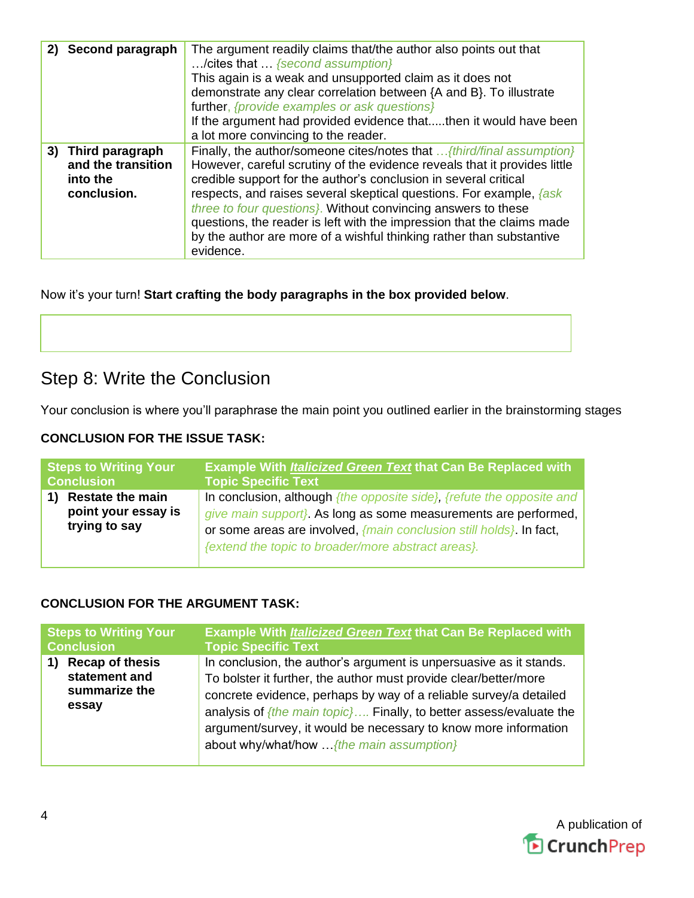| 2) Second paragraph                                                 | The argument readily claims that/the author also points out that<br>/cites that  {second assumption}<br>This again is a weak and unsupported claim as it does not<br>demonstrate any clear correlation between {A and B}. To illustrate<br>further, {provide examples or ask questions}<br>If the argument had provided evidence thatthen it would have been<br>a lot more convincing to the reader.                                                                                                                                   |
|---------------------------------------------------------------------|----------------------------------------------------------------------------------------------------------------------------------------------------------------------------------------------------------------------------------------------------------------------------------------------------------------------------------------------------------------------------------------------------------------------------------------------------------------------------------------------------------------------------------------|
| 3) Third paragraph<br>and the transition<br>into the<br>conclusion. | Finally, the author/someone cites/notes that  {third/final assumption}<br>However, careful scrutiny of the evidence reveals that it provides little<br>credible support for the author's conclusion in several critical<br>respects, and raises several skeptical questions. For example, <i>{ask}</i><br>three to four questions). Without convincing answers to these<br>questions, the reader is left with the impression that the claims made<br>by the author are more of a wishful thinking rather than substantive<br>evidence. |

Now it's your turn! **Start crafting the body paragraphs in the box provided below**.

## Step 8: Write the Conclusion

Your conclusion is where you'll paraphrase the main point you outlined earlier in the brainstorming stages

### **CONCLUSION FOR THE ISSUE TASK:**

| <b>Steps to Writing Your</b>                                    | <b>Example With Italicized Green Text that Can Be Replaced with</b>                                                                                                                                                                                                   |
|-----------------------------------------------------------------|-----------------------------------------------------------------------------------------------------------------------------------------------------------------------------------------------------------------------------------------------------------------------|
| <b>Conclusion</b>                                               | <b>Topic Specific Text</b>                                                                                                                                                                                                                                            |
| <b>Restate the main</b><br>point your essay is<br>trying to say | In conclusion, although {the opposite side}, {refute the opposite and<br>give main support}. As long as some measurements are performed,<br>or some areas are involved, {main conclusion still holds}. In fact,<br>{extend the topic to broader/more abstract areas}. |

## **CONCLUSION FOR THE ARGUMENT TASK:**

| <b>Steps to Writing Your</b>                                            | <b>Example With Italicized Green Text that Can Be Replaced with</b>                                                                                                                                                                                                                                                                                                                                  |
|-------------------------------------------------------------------------|------------------------------------------------------------------------------------------------------------------------------------------------------------------------------------------------------------------------------------------------------------------------------------------------------------------------------------------------------------------------------------------------------|
| <b>Conclusion</b>                                                       | <b>Topic Specific Text</b>                                                                                                                                                                                                                                                                                                                                                                           |
| <b>Recap of thesis</b><br>1)<br>statement and<br>summarize the<br>essay | In conclusion, the author's argument is unpersuasive as it stands.<br>To bolster it further, the author must provide clear/better/more<br>concrete evidence, perhaps by way of a reliable survey/a detailed<br>analysis of ${the main topic}$ Finally, to better assess/evaluate the<br>argument/survey, it would be necessary to know more information<br>about why/what/how  {the main assumption} |